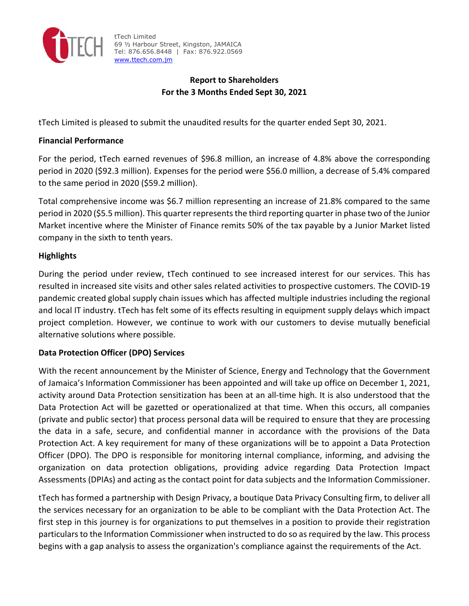

tTech Limited 69 ½ Harbour Street, Kingston, JAMAICA Tel: 876.656.8448 | Fax: 876.922.0569 www.ttech.com.jm

# **Report to Shareholders For the 3 Months Ended Sept 30, 2021**

tTech Limited is pleased to submit the unaudited results for the quarter ended Sept 30, 2021.

## **Financial Performance**

For the period, tTech earned revenues of \$96.8 million, an increase of 4.8% above the corresponding period in 2020 (\$92.3 million). Expenses for the period were \$56.0 million, a decrease of 5.4% compared to the same period in 2020 (\$59.2 million).

Total comprehensive income was \$6.7 million representing an increase of 21.8% compared to the same period in 2020 (\$5.5 million). This quarter representsthe third reporting quarter in phase two of the Junior Market incentive where the Minister of Finance remits 50% of the tax payable by a Junior Market listed company in the sixth to tenth years.

## **Highlights**

During the period under review, tTech continued to see increased interest for our services. This has resulted in increased site visits and other sales related activities to prospective customers. The COVID‐19 pandemic created global supply chain issues which has affected multiple industries including the regional and local IT industry. tTech has felt some of its effects resulting in equipment supply delays which impact project completion. However, we continue to work with our customers to devise mutually beneficial alternative solutions where possible.

## **Data Protection Officer (DPO) Services**

With the recent announcement by the Minister of Science, Energy and Technology that the Government of Jamaica's Information Commissioner has been appointed and will take up office on December 1, 2021, activity around Data Protection sensitization has been at an all‐time high. It is also understood that the Data Protection Act will be gazetted or operationalized at that time. When this occurs, all companies (private and public sector) that process personal data will be required to ensure that they are processing the data in a safe, secure, and confidential manner in accordance with the provisions of the Data Protection Act. A key requirement for many of these organizations will be to appoint a Data Protection Officer (DPO). The DPO is responsible for monitoring internal compliance, informing, and advising the organization on data protection obligations, providing advice regarding Data Protection Impact Assessments (DPIAs) and acting as the contact point for data subjects and the Information Commissioner.

tTech has formed a partnership with Design Privacy, a boutique Data Privacy Consulting firm, to deliver all the services necessary for an organization to be able to be compliant with the Data Protection Act. The first step in this journey is for organizations to put themselves in a position to provide their registration particulars to the Information Commissioner when instructed to do so as required by the law. This process begins with a gap analysis to assess the organization's compliance against the requirements of the Act.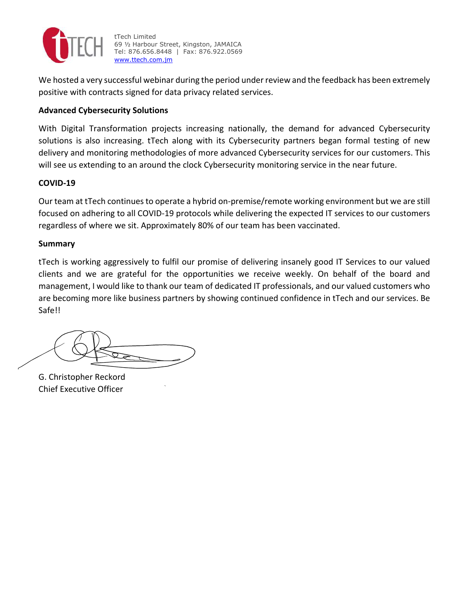

tTech Limited 69 ½ Harbour Street, Kingston, JAMAICA Tel: 876.656.8448 | Fax: 876.922.0569 www.ttech.com.jm

We hosted a very successful webinar during the period under review and the feedback has been extremely positive with contracts signed for data privacy related services.

## **Advanced Cybersecurity Solutions**

With Digital Transformation projects increasing nationally, the demand for advanced Cybersecurity solutions is also increasing. tTech along with its Cybersecurity partners began formal testing of new delivery and monitoring methodologies of more advanced Cybersecurity services for our customers. This will see us extending to an around the clock Cybersecurity monitoring service in the near future.

### **COVID‐19**

Our team at tTech continues to operate a hybrid on-premise/remote working environment but we are still focused on adhering to all COVID‐19 protocols while delivering the expected IT services to our customers regardless of where we sit. Approximately 80% of our team has been vaccinated.

### **Summary**

tTech is working aggressively to fulfil our promise of delivering insanely good IT Services to our valued clients and we are grateful for the opportunities we receive weekly. On behalf of the board and management, I would like to thank our team of dedicated IT professionals, and our valued customers who are becoming more like business partners by showing continued confidence in tTech and our services. Be Safe!!

G. Christopher Reckord Chief Executive Officer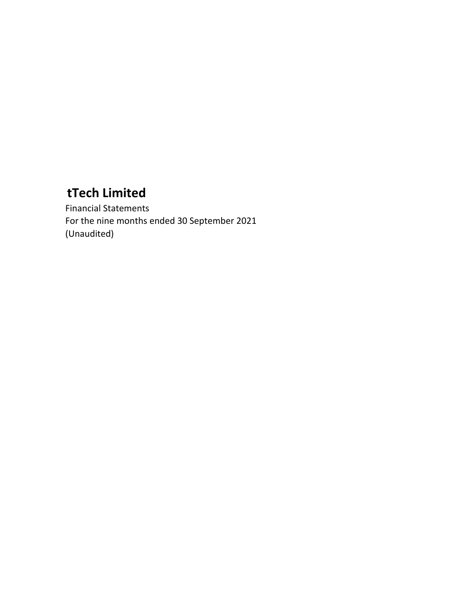Financial Statements For the nine months ended 30 September 2021 (Unaudited)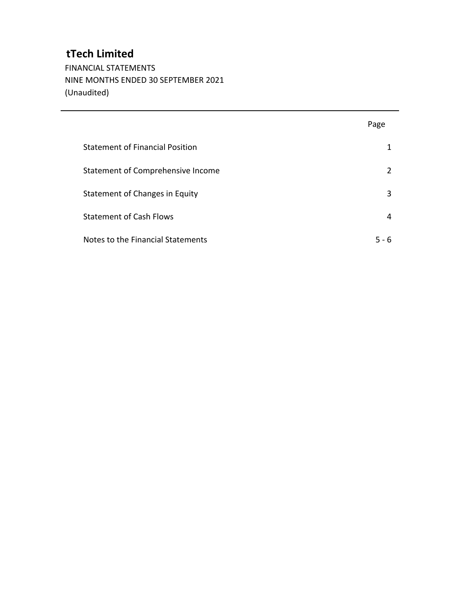FINANCIAL STATEMENTS NINE MONTHS ENDED 30 SEPTEMBER 2021 (Unaudited)

|                                        | Page  |
|----------------------------------------|-------|
| <b>Statement of Financial Position</b> |       |
| Statement of Comprehensive Income      | 2     |
| Statement of Changes in Equity         | 3     |
| <b>Statement of Cash Flows</b>         | 4     |
| Notes to the Financial Statements      | 5 - 6 |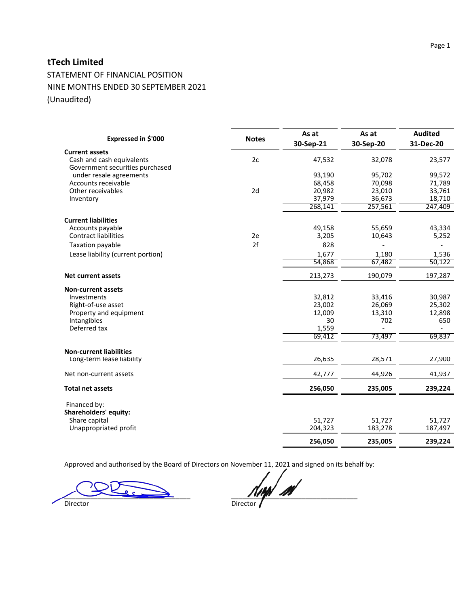STATEMENT OF FINANCIAL POSITION NINE MONTHS ENDED 30 SEPTEMBER 2021 (Unaudited)

| Expressed in \$'000                                                                   | <b>Notes</b> | As at<br>30-Sep-21 | As at<br>30-Sep-20 | <b>Audited</b><br>31-Dec-20 |
|---------------------------------------------------------------------------------------|--------------|--------------------|--------------------|-----------------------------|
| <b>Current assets</b><br>Cash and cash equivalents<br>Government securities purchased | 2c           | 47,532             | 32,078             | 23,577                      |
| under resale agreements                                                               |              | 93,190             | 95,702             | 99,572                      |
| Accounts receivable                                                                   |              | 68,458             | 70,098             | 71,789                      |
| Other receivables                                                                     | 2d           | 20,982             | 23,010             | 33,761                      |
| Inventory                                                                             |              | 37,979             | 36,673             | 18,710                      |
|                                                                                       |              | 268,141            | 257,561            | 247,409                     |
| <b>Current liabilities</b>                                                            |              |                    |                    |                             |
| Accounts payable                                                                      |              | 49,158             | 55,659             | 43,334                      |
| <b>Contract liabilities</b>                                                           | 2e           | 3,205              | 10,643             | 5,252                       |
| Taxation payable                                                                      | 2f           | 828                |                    |                             |
| Lease liability (current portion)                                                     |              | 1,677              | 1,180              | 1,536                       |
|                                                                                       |              | 54,868             | 67,482             | 50,122                      |
| <b>Net current assets</b>                                                             |              | 213,273            | 190,079            | 197,287                     |
| <b>Non-current assets</b>                                                             |              |                    |                    |                             |
| Investments                                                                           |              | 32,812             | 33,416             | 30,987                      |
| Right-of-use asset                                                                    |              | 23,002             | 26,069             | 25,302                      |
| Property and equipment                                                                |              | 12,009             | 13,310             | 12,898                      |
| Intangibles                                                                           |              | 30                 | 702                | 650                         |
| Deferred tax                                                                          |              | 1,559<br>69,412    | 73,497             | 69,837                      |
|                                                                                       |              |                    |                    |                             |
| <b>Non-current liabilities</b>                                                        |              |                    |                    |                             |
| Long-term lease liability                                                             |              | 26,635             | 28,571             | 27,900                      |
| Net non-current assets                                                                |              | 42,777             | 44,926             | 41,937                      |
| <b>Total net assets</b>                                                               |              | 256,050            | 235,005            | 239,224                     |
| Financed by:<br>Shareholders' equity:                                                 |              |                    |                    |                             |
| Share capital                                                                         |              | 51.727             | 51,727             | 51,727                      |
| Unappropriated profit                                                                 |              | 204,323            | 183,278            | 187,497                     |
|                                                                                       |              | 256,050            | 235,005            | 239,224                     |

Approved and authorised by the Board of Directors on November 11, 2021 and signed on its behalf by:

 $\blacksquare$ Director Director Director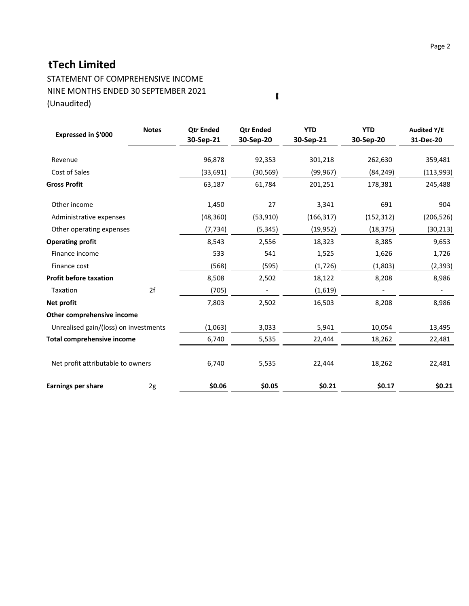STATEMENT OF COMPREHENSIVE INCOME NINE MONTHS ENDED 30 SEPTEMBER 2021 (Unaudited)

| Expressed in \$'000                   | <b>Notes</b> | <b>Qtr Ended</b><br>30-Sep-21 | <b>Qtr Ended</b><br>30-Sep-20 | <b>YTD</b><br>30-Sep-21 | <b>YTD</b><br>30-Sep-20 | <b>Audited Y/E</b><br>31-Dec-20 |
|---------------------------------------|--------------|-------------------------------|-------------------------------|-------------------------|-------------------------|---------------------------------|
| Revenue                               |              | 96,878                        | 92,353                        | 301,218                 | 262,630                 | 359,481                         |
| Cost of Sales                         |              | (33, 691)                     | (30, 569)                     | (99, 967)               | (84, 249)               | (113, 993)                      |
| <b>Gross Profit</b>                   |              | 63,187                        | 61,784                        | 201,251                 | 178,381                 | 245,488                         |
| Other income                          |              | 1,450                         | 27                            | 3,341                   | 691                     | 904                             |
| Administrative expenses               |              | (48, 360)                     | (53, 910)                     | (166, 317)              | (152, 312)              | (206, 526)                      |
| Other operating expenses              |              | (7, 734)                      | (5, 345)                      | (19, 952)               | (18, 375)               | (30, 213)                       |
| <b>Operating profit</b>               |              | 8,543                         | 2,556                         | 18,323                  | 8,385                   | 9,653                           |
| Finance income                        |              | 533                           | 541                           | 1,525                   | 1,626                   | 1,726                           |
| Finance cost                          |              | (568)                         | (595)                         | (1, 726)                | (1,803)                 | (2, 393)                        |
| <b>Profit before taxation</b>         |              | 8,508                         | 2,502                         | 18,122                  | 8,208                   | 8,986                           |
| Taxation                              | 2f           | (705)                         |                               | (1,619)                 |                         |                                 |
| Net profit                            |              | 7,803                         | 2,502                         | 16,503                  | 8,208                   | 8,986                           |
| Other comprehensive income            |              |                               |                               |                         |                         |                                 |
| Unrealised gain/(loss) on investments |              | (1,063)                       | 3,033                         | 5,941                   | 10,054                  | 13,495                          |
| <b>Total comprehensive income</b>     |              | 6,740                         | 5,535                         | 22,444                  | 18,262                  | 22,481                          |
| Net profit attributable to owners     |              | 6,740                         | 5,535                         | 22,444                  | 18,262                  | 22,481                          |
| <b>Earnings per share</b>             | 2g           | \$0.06                        | \$0.05                        | \$0.21                  | \$0.17                  | \$0.21                          |

 $\pmb{\mathfrak{c}}$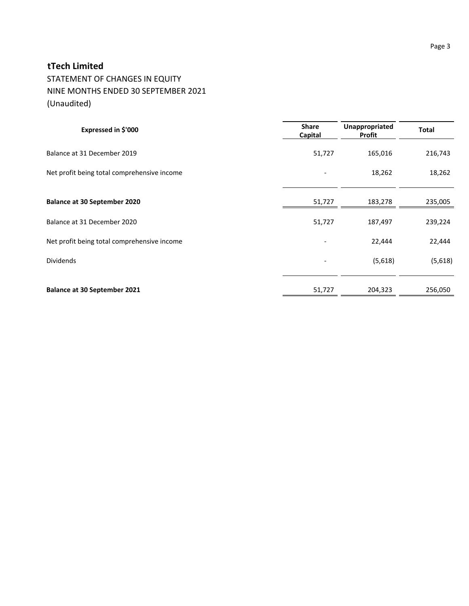STATEMENT OF CHANGES IN EQUITY NINE MONTHS ENDED 30 SEPTEMBER 2021 (Unaudited)

| Expressed in \$'000                         | <b>Share</b><br>Capital | Unappropriated<br>Profit | <b>Total</b> |
|---------------------------------------------|-------------------------|--------------------------|--------------|
| Balance at 31 December 2019                 | 51,727                  | 165,016                  | 216,743      |
| Net profit being total comprehensive income |                         | 18,262                   | 18,262       |
|                                             |                         |                          |              |
| <b>Balance at 30 September 2020</b>         | 51,727                  | 183,278                  | 235,005      |
| Balance at 31 December 2020                 | 51,727                  | 187,497                  | 239,224      |
| Net profit being total comprehensive income |                         | 22,444                   | 22,444       |
| <b>Dividends</b>                            |                         | (5,618)                  | (5,618)      |
|                                             |                         |                          |              |
| <b>Balance at 30 September 2021</b>         | 51,727                  | 204,323                  | 256,050      |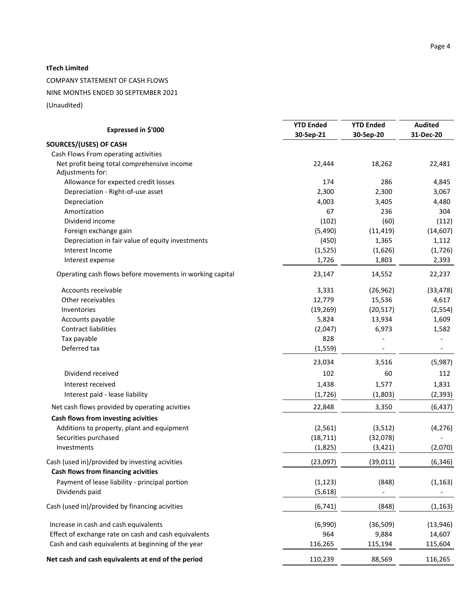COMPANY STATEMENT OF CASH FLOWS

NINE MONTHS ENDED 30 SEPTEMBER 2021

(Unaudited)

|                                                                  | <b>YTD Ended</b>    | <b>YTD Ended</b> | <b>Audited</b> |
|------------------------------------------------------------------|---------------------|------------------|----------------|
| Expressed in \$'000                                              | 30-Sep-21           | 30-Sep-20        | 31-Dec-20      |
| SOURCES/(USES) OF CASH                                           |                     |                  |                |
| Cash Flows From operating activities                             |                     |                  |                |
| Net profit being total comprehensive income<br>Adjustments for:  | 22,444              | 18,262           | 22,481         |
| Allowance for expected credit losses                             | 174                 | 286              | 4,845          |
| Depreciation - Right-of-use asset                                | 2,300               | 2,300            | 3,067          |
| Depreciation                                                     | 4,003               | 3,405            | 4,480          |
| Amortization                                                     | 67                  | 236              | 304            |
| Dividend income                                                  | (102)               | (60)             | (112)          |
| Foreign exchange gain                                            | (5,490)             | (11, 419)        | (14, 607)      |
| Depreciation in fair value of equity investments                 | (450)               | 1,365            | 1,112          |
| Interest Income                                                  | (1, 525)            | (1,626)          | (1,726)        |
| Interest expense                                                 | 1,726               | 1,803            | 2,393          |
| Operating cash flows before movements in working capital         | 23,147              | 14,552           | 22,237         |
| Accounts receivable                                              | 3,331               | (26, 962)        | (33, 478)      |
| Other receivables                                                | 12,779              | 15,536           | 4,617          |
| Inventories                                                      | (19, 269)           | (20, 517)        | (2, 554)       |
| Accounts payable                                                 | 5,824               | 13,934           | 1,609          |
| <b>Contract liabilities</b>                                      | (2,047)             | 6,973            | 1,582          |
| Tax payable                                                      | 828                 |                  |                |
| Deferred tax                                                     | (1, 559)            |                  |                |
|                                                                  | 23,034              | 3,516            | (5,987)        |
| Dividend received                                                | 102                 | 60               | 112            |
| Interest received                                                | 1,438               | 1,577            | 1,831          |
| Interest paid - lease liability                                  | (1, 726)            | (1,803)          | (2, 393)       |
| Net cash flows provided by operating acivities                   | 22,848              | 3,350            | (6, 437)       |
| Cash flows from investing acivities                              |                     |                  |                |
| Additions to property, plant and equipment                       | (2, 561)            | (3, 512)         | (4, 276)       |
| Securities purchased                                             | (18, 711)           | (32,078)         |                |
| Investments                                                      | (1,825)             | (3, 421)         | (2,070)        |
| Cash (used in)/provided by investing acivities                   | (23,097)            | (39, 011)        | (6, 346)       |
| Cash flows from financing acivities                              |                     |                  |                |
| Payment of lease liability - principal portion<br>Dividends paid | (1, 123)<br>(5,618) | (848)            | (1, 163)       |
|                                                                  |                     |                  |                |
| Cash (used in)/provided by financing acivities                   | (6, 741)            | (848)            | (1, 163)       |
| Increase in cash and cash equivalents                            | (6,990)             | (36, 509)        | (13, 946)      |
| Effect of exchange rate on cash and cash equivalents             | 964                 | 9,884            | 14,607         |
| Cash and cash equivalents at beginning of the year               | 116,265             | 115,194          | 115,604        |
| Net cash and cash equivalents at end of the period               | 110,239             | 88,569           | 116,265        |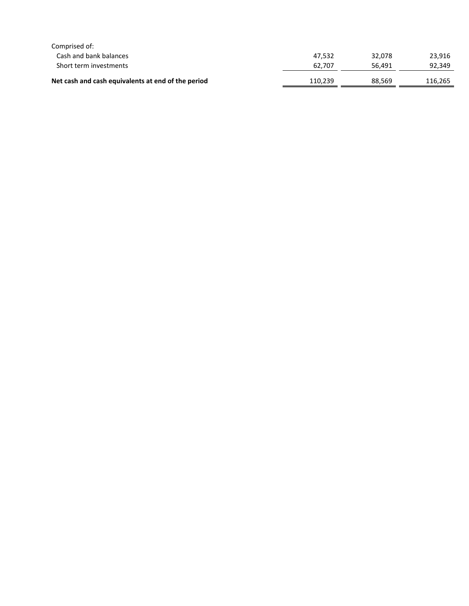| Comprised of:                                      |         |        |         |
|----------------------------------------------------|---------|--------|---------|
| Cash and bank balances                             | 47.532  | 32.078 | 23.916  |
| Short term investments                             | 62.707  | 56.491 | 92.349  |
| Net cash and cash equivalents at end of the period | 110.239 | 88,569 | 116,265 |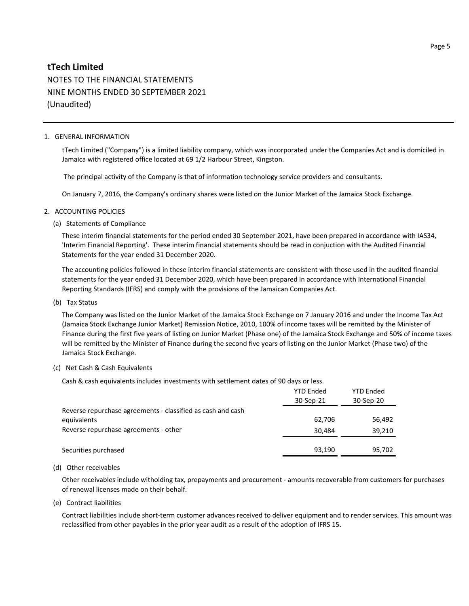# **tTech Limited** NOTES TO THE FINANCIAL STATEMENTS NINE MONTHS ENDED 30 SEPTEMBER 2021 (Unaudited)

#### 1. GENERAL INFORMATION

tTech Limited ("Company") is a limited liability company, which was incorporated under the Companies Act and is domiciled in Jamaica with registered office located at 69 1/2 Harbour Street, Kingston.

The principal activity of the Company is that of information technology service providers and consultants.

On January 7, 2016, the Company's ordinary shares were listed on the Junior Market of the Jamaica Stock Exchange.

#### 2. ACCOUNTING POLICIES

(a) Statements of Compliance

These interim financial statements for the period ended 30 September 2021, have been prepared in accordance with IAS34, 'Interim Financial Reporting'. These interim financial statements should be read in conjuction with the Audited Financial Statements for the year ended 31 December 2020.

The accounting policies followed in these interim financial statements are consistent with those used in the audited financial statements for the year ended 31 December 2020, which have been prepared in accordance with International Financial Reporting Standards (IFRS) and comply with the provisions of the Jamaican Companies Act.

(b) Tax Status

The Company was listed on the Junior Market of the Jamaica Stock Exchange on 7 January 2016 and under the Income Tax Act (Jamaica Stock Exchange Junior Market) Remission Notice, 2010, 100% of income taxes will be remitted by the Minister of Finance during the first five years of listing on Junior Market (Phase one) of the Jamaica Stock Exchange and 50% of income taxes will be remitted by the Minister of Finance during the second five years of listing on the Junior Market (Phase two) of the Jamaica Stock Exchange.

#### (c) Net Cash & Cash Equivalents

Cash & cash equivalents includes investments with settlement dates of 90 days or less.

|                                                             | <b>YTD Ended</b><br>30-Sep-21 | <b>YTD Ended</b><br>30-Sep-20 |
|-------------------------------------------------------------|-------------------------------|-------------------------------|
| Reverse repurchase agreements - classified as cash and cash |                               |                               |
| equivalents                                                 | 62,706                        | 56,492                        |
| Reverse repurchase agreements - other                       | 30,484                        | 39,210                        |
|                                                             |                               |                               |
| Securities purchased                                        | 93,190                        | 95,702                        |

#### (d) Other receivables

Other receivables include witholding tax, prepayments and procurement - amounts recoverable from customers for purchases of renewal licenses made on their behalf.

(e) Contract liabilities

Contract liabilities include short-term customer advances received to deliver equipment and to render services. This amount was reclassified from other payables in the prior year audit as a result of the adoption of IFRS 15.